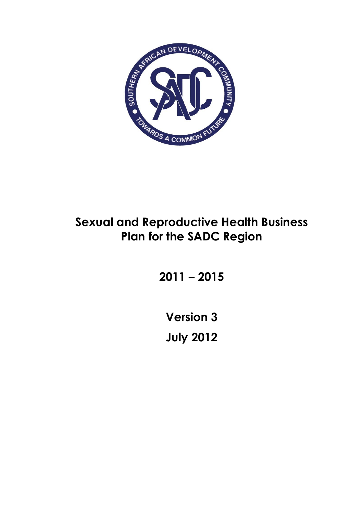

# **Sexual and Reproductive Health Business Plan for the SADC Region**

**2011 – 2015**

**Version 3 July 2012**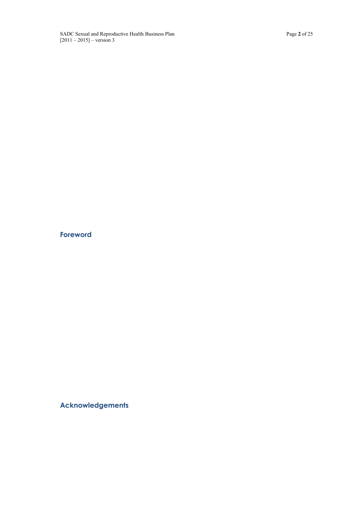# **Foreword**

**Acknowledgements**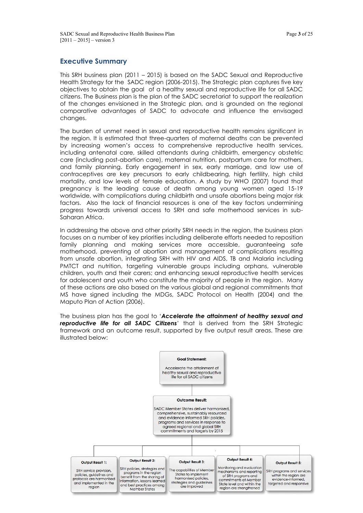## **Executive Summary**

This SRH business plan (2011 – 2015) is based on the SADC Sexual and Reproductive Health Strategy for the SADC region (2006-2015). The Strategic plan captures five key objectives to obtain the goal of a healthy sexual and reproductive life for all SADC citizens. The Business plan is the plan of the SADC secretariat to support the realization of the changes envisioned in the Strategic plan, and is grounded on the regional comparative advantages of SADC to advocate and influence the envisaged changes.

The burden of unmet need in sexual and reproductive health remains significant in the region. It is estimated that three-quarters of maternal deaths can be prevented by increasing women's access to comprehensive reproductive health services, including antenatal care, skilled attendants during childbirth, emergency obstetric care (including post-abortion care), maternal nutrition, postpartum care for mothers, and family planning. Early engagement in sex, early marriage, and low use of contraceptives are key precursors to early childbearing, high fertility, high child mortality, and low levels of female education. A study by WHO (2007) found that pregnancy is the leading cause of death among young women aged 15-19 worldwide, with complications during childbirth and unsafe abortions being major risk factors. Also the lack of financial resources is one of the key factors undermining progress towards universal access to SRH and safe motherhood services in sub-Saharan Africa.

In addressing the above and other priority SRH needs in the region, the business plan focuses on a number of key priorities including deliberate efforts needed to reposition family planning and making services more accessible, guaranteeing safe motherhood, preventing of abortion and management of complications resulting from unsafe abortion, integrating SRH with HIV and AIDS, TB and Malaria including PMTCT and nutrition, targeting vulnerable groups including orphans, vulnerable children, youth and their carers; and enhancing sexual reproductive health services for adolescent and youth who constitute the majority of people in the region. Many of these actions are also based on the various global and regional commitments that MS have signed including the MDGs, SADC Protocol on Health (2004) and the Maputo Plan of Action (2006).

The business plan has the goal to '*Accelerate the attainment of healthy sexual and reproductive life for all SADC Citizens*' that is derived from the SRH Strategic framework and an outcome result, supported by five output result areas. These are illustrated below:

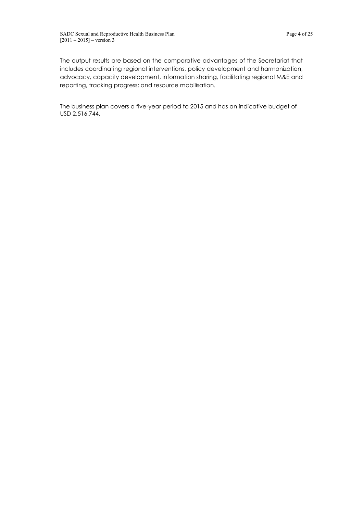The output results are based on the comparative advantages of the Secretariat that includes coordinating regional interventions, policy development and harmonization, advocacy, capacity development, information sharing, facilitating regional M&E and reporting, tracking progress; and resource mobilisation.

The business plan covers a five-year period to 2015 and has an indicative budget of USD 2,516,744.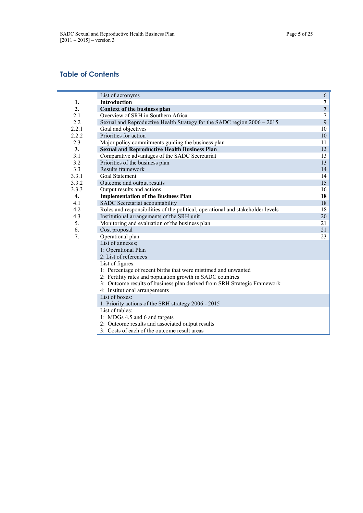# **Table of Contents**

|                  | List of acronyms                                                                | 6              |
|------------------|---------------------------------------------------------------------------------|----------------|
| 1.               | <b>Introduction</b>                                                             | 7              |
| 2.               | <b>Context of the business plan</b>                                             | $\overline{7}$ |
| 2.1              | Overview of SRH in Southern Africa                                              | 7              |
| 2.2              | Sexual and Reproductive Health Strategy for the SADC region 2006 – 2015         | 9              |
| 2.2.1            | Goal and objectives                                                             | 10             |
| 2.2.2            | Priorities for action                                                           | 10             |
| 2.3              | Major policy commitments guiding the business plan                              | 11             |
| $\mathbf{3}$ .   | <b>Sexual and Reproductive Health Business Plan</b>                             | 13             |
| 3.1              | Comparative advantages of the SADC Secretariat                                  | 13             |
| 3.2              | Priorities of the business plan                                                 | 13             |
| 3.3              | Results framework                                                               | 14             |
| 3.3.1            | <b>Goal Statement</b>                                                           | 14             |
| 3.3.2            | Outcome and output results                                                      | 15             |
| 3.3.3            | Output results and actions                                                      | 16             |
| $\overline{4}$ . | <b>Implementation of the Business Plan</b>                                      | 18             |
| 4.1              | SADC Secretariat accountability                                                 | 18             |
| 4.2              | Roles and responsibilities of the political, operational and stakeholder levels | 18             |
| 4.3              | Institutional arrangements of the SRH unit                                      | 20             |
| 5.               | Monitoring and evaluation of the business plan                                  | 21             |
| 6.               | Cost proposal                                                                   | 21             |
| 7.               | Operational plan                                                                | 23             |
|                  | List of annexes;                                                                |                |
|                  | 1: Operational Plan                                                             |                |
|                  | 2: List of references                                                           |                |
|                  | List of figures:                                                                |                |
|                  | 1: Percentage of recent births that were mistimed and unwanted                  |                |
|                  | 2: Fertility rates and population growth in SADC countries                      |                |
|                  | 3. Outcome results of business plan derived from SRH Strategic Framework        |                |
|                  | 4: Institutional arrangements                                                   |                |
|                  | List of boxes:                                                                  |                |
|                  | 1: Priority actions of the SRH strategy 2006 - 2015                             |                |
|                  | List of tables:                                                                 |                |
|                  | 1: MDGs 4,5 and 6 and targets                                                   |                |
|                  | 2. Outcome results and associated output results                                |                |
|                  | 3: Costs of each of the outcome result areas                                    |                |
|                  |                                                                                 |                |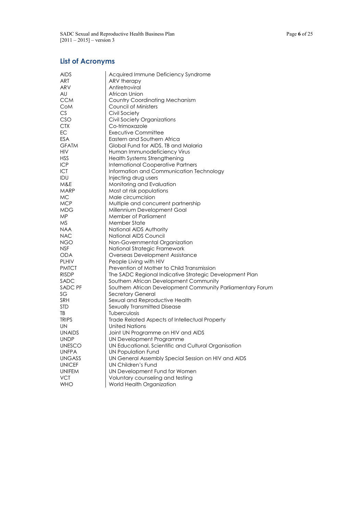# **List of Acronyms**

| <b>AIDS</b>   | Acquired Immune Deficiency Syndrome                        |
|---------------|------------------------------------------------------------|
| ART           | ARV therapy                                                |
| ARV           | Antiretroviral                                             |
| AU            | African Union                                              |
| <b>CCM</b>    | <b>Country Coordinating Mechanism</b>                      |
| CoM           | Council of Ministers                                       |
| CS            | Civil Society                                              |
| CSO           | Civil Society Organizations                                |
| <b>CTX</b>    | Co-trimoxazole                                             |
| EC            | Executive Committee                                        |
| <b>ESA</b>    | Eastern and Southern Africa                                |
| <b>GFATM</b>  | Global Fund for AIDS, TB and Malaria                       |
| HIV           | Human Immunodeficiency Virus                               |
| <b>HSS</b>    | Health Systems Strengthening                               |
| <b>ICP</b>    | <b>International Cooperative Partners</b>                  |
| ICT           | Information and Communication Technology                   |
| IDU           | Injecting drug users                                       |
| M&E           | Monitoring and Evaluation                                  |
| MARP          | Most at risk populations                                   |
| МC            | Male circumcision                                          |
| <b>MCP</b>    | Multiple and concurrent partnership                        |
| <b>MDG</b>    | Millennium Development Goal                                |
| ΜP            | <b>Member of Parliament</b>                                |
| ΜS            | <b>Member State</b>                                        |
| <b>NAA</b>    | National AIDS Authority                                    |
| <b>NAC</b>    | National AIDS Council                                      |
| <b>NGO</b>    | Non-Governmental Organization                              |
| <b>NSF</b>    | National Strategic Framework                               |
| <b>ODA</b>    | Overseas Development Assistance                            |
| <b>PLHIV</b>  | People Living with HIV                                     |
| <b>PMTCT</b>  | Prevention of Mother to Child Transmission                 |
| <b>RISDP</b>  | The SADC Regional Indicative Strategic Development Plan    |
| SADC          | Southern African Development Community                     |
| SADC PF       | Southern African Development Community Parliamentary Forum |
| SG            | Secretary General                                          |
| <b>SRH</b>    | Sexual and Reproductive Health                             |
| STD           | Sexually Transmitted Disease                               |
| TB            | Tuberculosis                                               |
| <b>TRIPS</b>  | Trade Related Aspects of Intellectual Property             |
| UN            | United Nations                                             |
| <b>UNAIDS</b> | Joint UN Programme on HIV and AIDS                         |
| <b>UNDP</b>   | UN Development Programme                                   |
| <b>UNESCO</b> | UN Educational, Scientific and Cultural Organisation       |
| <b>UNFPA</b>  | UN Population Fund                                         |
| <b>UNGASS</b> | UN General Assembly Special Session on HIV and AIDS        |
| <b>UNICEF</b> | <b>UN Children's Fund</b>                                  |
| <b>UNIFEM</b> | UN Development Fund for Women                              |
| <b>VCT</b>    | Voluntary counseling and testing                           |
| <b>WHO</b>    | World Health Organization                                  |
|               |                                                            |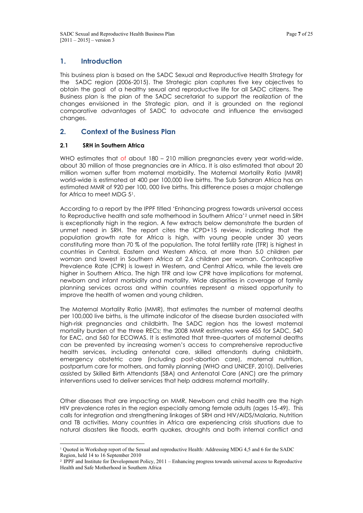# **1. Introduction**

This business plan is based on the SADC Sexual and Reproductive Health Strategy for the SADC region (2006-2015). The Strategic plan captures five key objectives to obtain the goal of a healthy sexual and reproductive life for all SADC citizens. The Business plan is the plan of the SADC secretariat to support the realization of the changes envisioned in the Strategic plan, and it is grounded on the regional comparative advantages of SADC to advocate and influence the envisaged changes.

# **2. Context of the Business Plan**

## **2.1 SRH in Southern Africa**

WHO estimates that of about 180 – 210 million pregnancies every year world-wide, about 30 million of those pregnancies are in Africa. It is also estimated that about 20 million women suffer from maternal morbidity. The Maternal Mortality Ratio (MMR) world-wide is estimated at 400 per 100,000 live births. The Sub Saharan Africa has an estimated MMR of 920 per 100, 000 live births. This difference poses a major challenge for Africa to meet MDG 51.

According to a report by the IPPF titled 'Enhancing progress towards universal access to Reproductive health and safe motherhood in Southern Africa'<sup>2</sup> unmet need in SRH is exceptionally high in the region. A few extracts below demonstrate the burden of unmet need in SRH. The report cites the ICPD+15 review, indicating that the population growth rate for Africa is high, with young people under 30 years constituting more than 70 % of the population. The total fertility rate (TFR) is highest in countries in Central, Eastern and Western Africa, at more than 5.0 children per woman and lowest in Southern Africa at 2.6 children per woman. Contraceptive Prevalence Rate (CPR) is lowest in Western, and Central Africa, while the levels are higher in Southern Africa. The high TFR and low CPR have implications for maternal, newborn and infant morbidity and mortality. Wide disparities in coverage of family planning services across and within countries represent a missed opportunity to improve the health of women and young children.

The Maternal Mortality Ratio (MMR), that estimates the number of maternal deaths per 100,000 live births, is the ultimate indicator of the disease burden associated with high-risk pregnancies and childbirth. The SADC region has the lowest maternal mortality burden of the three RECs; the 2008 MMR estimates were 455 for SADC, 540 for EAC, and 560 for ECOWAS. It is estimated that three-quarters of maternal deaths can be prevented by increasing women's access to comprehensive reproductive health services, including antenatal care, skilled attendants during childbirth, emergency obstetric care (including post-abortion care), maternal nutrition, postpartum care for mothers, and family planning (WHO and UNICEF, 2010). Deliveries assisted by Skilled Birth Attendants (SBA) and Antenatal Care (ANC) are the primary interventions used to deliver services that help address maternal mortality.

Other diseases that are impacting on MMR, Newborn and child health are the high HIV prevalence rates in the region especially among female adults (ages 15-49). This calls for integration and strengthening linkages of SRH and HIV/AIDS/Malaria, Nutrition and TB activities. Many countries in Africa are experiencing crisis situations due to natural disasters like floods, earth quakes, droughts and both internal conflict and

 <sup>1</sup> Quoted in Workshop report of the Sexual and reproductive Health: Addressing MDG 4,5 and 6 for the SADC Region, held 14 to 16 September 2010

<sup>2</sup> IPPF and Institute for Development Policy, 2011 – Enhancing progress towards universal access to Reproductive Health and Safe Motherhood in Southern Africa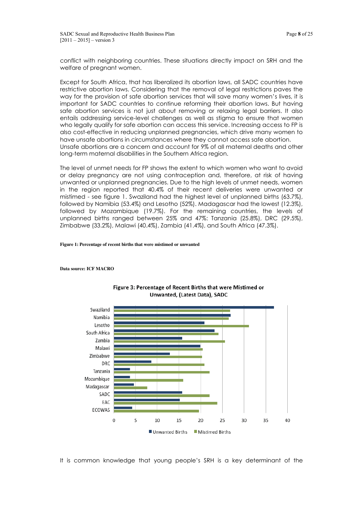conflict with neighboring countries. These situations directly impact on SRH and the welfare of pregnant women.

Except for South Africa, that has liberalized its abortion laws, all SADC countries have restrictive abortion laws. Considering that the removal of legal restrictions paves the way for the provision of safe abortion services that will save many women's lives, it is important for SADC countries to continue reforming their abortion laws. But having safe abortion services is not just about removing or relaxing legal barriers. It also entails addressing service-level challenges as well as stigma to ensure that women who legally qualify for safe abortion can access this service. Increasing access to FP is also cost-effective in reducing unplanned pregnancies, which drive many women to have unsafe abortions in circumstances where they cannot access safe abortion. Unsafe abortions are a concern and account for 9% of all maternal deaths and other long-term maternal disabilities in the Southern Africa region.

The level of unmet needs for FP shows the extent to which women who want to avoid or delay pregnancy are not using contraception and, therefore, at risk of having unwanted or unplanned pregnancies. Due to the high levels of unmet needs, women in the region reported that 40.4% of their recent deliveries were unwanted or mistimed - see figure 1. Swaziland had the highest level of unplanned births (63.7%), followed by Namibia (53.4%) and Lesotho (52%). Madagascar had the lowest (12.3%), followed by Mozambique (19.7%). For the remaining countries, the levels of unplanned births ranged between 25% and 47%: Tanzania (25.8%), DRC (29.5%), Zimbabwe (33.2%), Malawi (40.4%), Zambia (41.4%), and South Africa (47.3%).

#### **Figure 1: Percentage of recent births that were mistimed or unwanted**

**Data source: ICF MACRO**



#### Figure 3: Percentage of Recent Births that were Mistimed or Unwanted, (Latest Data), SADC

It is common knowledge that young people's SRH is a key determinant of the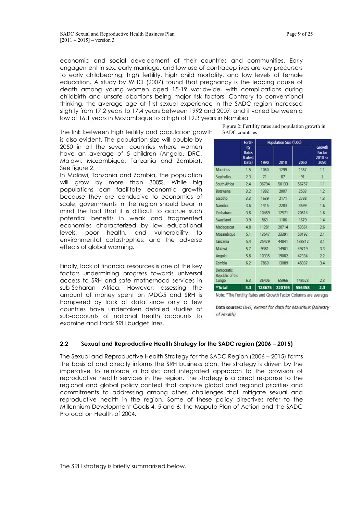economic and social development of their countries and communities. Early engagement in sex, early marriage, and low use of contraceptives are key precursors to early childbearing, high fertility, high child mortality, and low levels of female education. A study by WHO (2007) found that pregnancy is the leading cause of death among young women aged 15-19 worldwide, with complications during childbirth and unsafe abortions being major risk factors. Contrary to conventional thinking, the average age at first sexual experience in the SADC region increased slightly from 17.2 years to 17.4 years between 1992 and 2007, and it varied between a low of 16.1 years in Mozambique to a high of 19.3 years in Namibia

The link between high fertility and population growth

is also evident. The population size will double by 2050 in all the seven countries where women have an average of 5 children (Angola, DRC, Malawi, Mozambique, Tanzania and Zambia). See figure 2.

In Malawi, Tanzania and Zambia, the population will grow by more than 300%. While big populations can facilitate economic growth because they are conducive to economies of scale, governments in the region should bear in mind the fact that it is difficult to accrue such potential benefits in weak and fragmented economies characterized by low educational levels, poor health, and vulnerability to environmental catastrophes; and the adverse effects of global warming.

Finally, lack of financial resources is one of the key factors undermining progress towards universal access to SRH and safe motherhood services in sub-Saharan Africa. However, assessing the amount of money spent on MDG5 and SRH is hampered by lack of data since only a few countries have undertaken detailed studies of sub-accounts of national health accounts to examine and track SRH budget lines.

Figure 2: Fertility rates and population growth in SADC countries

|                                        | Fertil-                          | Population Size ('000) |        |        |                                        |
|----------------------------------------|----------------------------------|------------------------|--------|--------|----------------------------------------|
|                                        | ity<br>Rates<br>(Latest<br>Data) | 1990                   | 2010   | 2050   | Growth<br>Factor<br>$2010 - 5$<br>2050 |
| Mauritius                              | 1.5                              | 1060                   | 1299   | 1367   | 1.1                                    |
| Seychelles                             | 2.3                              | 71                     | 87     | 91     | 1                                      |
| South Africa                           | 24                               | 36794                  | 50133  | 56757  | 1.1                                    |
| Botswana                               | 3.2                              | 1382                   | 2007   | 2503   | 1.2                                    |
| Lesotho                                | 33                               | 1639                   | 2171   | 2788   | 1.3                                    |
| Namibia                                | 3.6                              | 1415                   | 2283   | 3599   | 1.6                                    |
| <b>Zimbabwe</b>                        | 3.8                              | 10469                  | 12571  | 20614  | 1.6                                    |
| Swaziland                              | 3.9                              | 863                    | 1186   | 1679   | 1.4                                    |
| Madagascar                             | 48                               | 11281                  | 20714  | 53561  | 2.6                                    |
| Mozambique                             | 5.1                              | 13547                  | 23391  | 50192  | 2.1                                    |
| Tanzania                               | 5.4                              | 25479                  | 44841  | 138312 | 3.1                                    |
| Malawi                                 | 5.7                              | 9381                   | 14901  | 49719  | 3.3                                    |
| Angola                                 | 5.8                              | 10335                  | 19082  | 42334  | 2.2                                    |
| Zambia                                 | 6.2                              | 7860                   | 13089  | 45037  | 3.4                                    |
| Democratic<br>Republic of the<br>Congo | 6.3                              | 36406                  | 65966  | 148523 | 2.3                                    |
| *Total                                 | 5.3                              | 128675                 | 220195 | 556358 | 2.3                                    |

Note: \*The Fertility Rates and Growth Factor Columns are averages

Data sources: DHS, except for data for Mauritius (Ministry of Health)

# **2.2 Sexual and Reproductive Health Strategy for the SADC region (2006 – 2015)**

The Sexual and Reproductive Health Strategy for the SADC Region (2006 – 2015) forms the basis of and directly informs the SRH business plan. The strategy is driven by the imperative to reinforce a holistic and integrated approach to the provision of reproductive health services in the region. The strategy is a direct response to the regional and global policy context that capture global and regional priorities and commitments to addressing among other, challenges that mitigate sexual and reproductive health in the region. Some of these policy directives refer to the Millennium Development Goals 4, 5 and 6; the Maputo Plan of Action and the SADC Protocol on Health of 2004.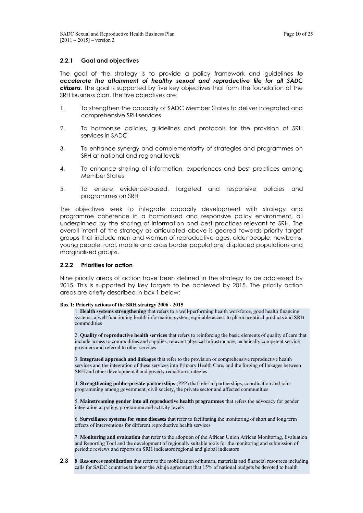## **2.2.1 Goal and objectives**

The goal of the strategy is to provide a policy framework and guidelines *to accelerate the attainment of healthy sexual and reproductive life for all SADC citizens*. The goal is supported by five key objectives that form the foundation of the SRH business plan. The five objectives are:

- 1. To strengthen the capacity of SADC Member States to deliver integrated and comprehensive SRH services
- 2. To harmonise policies, guidelines and protocols for the provision of SRH services in SADC
- 3. To enhance synergy and complementarity of strategies and programmes on SRH at national and regional levels
- 4. To enhance sharing of information, experiences and best practices among Member States
- 5. To ensure evidence-based, targeted and responsive policies and programmes on SRH

The objectives seek to integrate capacity development with strategy and programme coherence in a harmonised and responsive policy environment, all underpinned by the sharing of information and best practices relevant to SRH. The overall intent of the strategy as articulated above is geared towards priority target groups that include men and women of reproductive ages, older people, newborns, young people, rural, mobile and cross border populations; displaced populations and marginalised groups.

#### **2.2.2 Priorities for action**

Nine priority areas of action have been defined in the strategy to be addressed by 2015. This is supported by key targets to be achieved by 2015. The priority action areas are briefly described in box 1 below:

#### **Box 1: Priority actions of the SRH strategy 2006 - 2015**

1. **Health systems strengthening** that refers to a well-performing health workforce, good health financing systems, a well functioning health information system, equitable access to pharmaceutical products and SRH commodities

2. **Quality of reproductive health services** that refers to reinforcing the basic elements of quality of care that include access to commodities and supplies, relevant physical infrastructure, technically competent service providers and referral to other services

3. **Integrated approach and linkages** that refer to the provision of comprehensive reproductive health services and the integration of these services into Primary Health Care, and the forging of linkages between SRH and other developmental and poverty reduction strategies

4. **Strengthening public-private partnerships** (PPP) that refer to partnerships, coordination and joint programming among government, civil society, the private sector and affected communities

5. **Mainstreaming gender into all reproductive health programmes** that refers the advocacy for gender integration at policy, programme and activity levels

6. **Surveillance systems for some diseases** that refer to facilitating the monitoring of short and long term effects of interventions for different reproductive health services

7. **Monitoring and evaluation** that refer to the adoption of the African Union African Monitoring, Evaluation and Reporting Tool and the development of regionally suitable tools for the monitoring and submission of periodic reviews and reports on SRH indicators regional and global indicators

**2.3** 8. **Resources mobilization** that refer to the mobilization of human, materials and financial resources including calls for SADC countries to honor the Abuja agreement that 15% of national budgets be devoted to health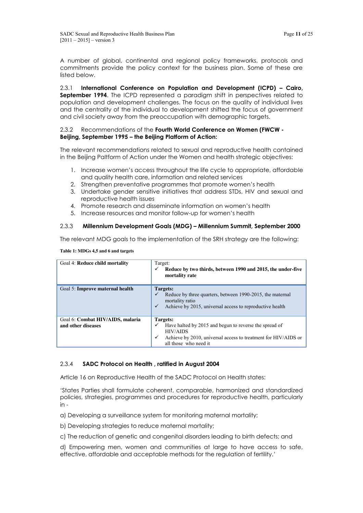A number of global, continental and regional policy frameworks, protocols and commitments provide the policy context for the business plan. Some of these are listed below.

2.3.1 **International Conference on Population and Development (ICPD) – Cairo, September 1994**. The ICPD represented a paradigm shift in perspectives related to population and development challenges. The focus on the quality of individual lives and the centrality of the individual to development shifted the focus of government and civil society away from the preoccupation with demographic targets.

## 2.3.2 Recommendations of the **Fourth World Conference on Women (FWCW - Beijing, September 1995 – the Beijing Platform of Action:**

The relevant recommendations related to sexual and reproductive health contained in the Beijing Paltform of Action under the Women and health strategic objectives:

- 1. Increase women's access throughout the life cycle to appropriate, affordable and quality health care, information and related services
- 2. Strengthen preventative programmes that promote women's health
- 3. Undertake gender sensitive initiatives that address STDs, HIV and sexual and reproductive health issues
- 4. Promote research and disseminate information on women's health
- 5. Increase resources and monitor follow-up for women's health

## 2.3.3 **Millennium Development Goals (MDG) – Millennium Summit, September 2000**

The relevant MDG goals to the implementation of the SRH strategy are the following:

| Goal 4: Reduce child mortality                         | Target:<br>Reduce by two thirds, between 1990 and 2015, the under-five<br>✓<br>mortality rate                                                                                              |
|--------------------------------------------------------|--------------------------------------------------------------------------------------------------------------------------------------------------------------------------------------------|
| Goal 5: Improve maternal health                        | Targets:<br>Reduce by three quarters, between 1990-2015, the maternal<br>$\checkmark$<br>mortality ratio<br>Achieve by 2015, universal access to reproductive health<br>$\checkmark$       |
| Goal 6: Combat HIV/AIDS, malaria<br>and other diseases | Targets:<br>Have halted by 2015 and begun to reverse the spread of<br>✓<br><b>HIV/AIDS</b><br>Achieve by 2010, universal access to treatment for HIV/AIDS or<br>✓<br>all those who need it |

#### **Table 1: MDGs 4,5 and 6 and targets**

#### 2.3.4 **SADC Protocol on Health , ratified in August 2004**

Article 16 on Reproductive Health of the SADC Protocol on Health states:

'States Parties shall formulate coherent, comparable, harmonized and standardized policies, strategies, programmes and procedures for reproductive health, particularly in -

- a) Developing a surveillance system for monitoring maternal mortality;
- b) Developing strategies to reduce maternal mortality;
- c) The reduction of genetic and congenital disorders leading to birth defects; and

d) Empowering men, women and communities at large to have access to safe, effective, affordable and acceptable methods for the regulation of fertility.'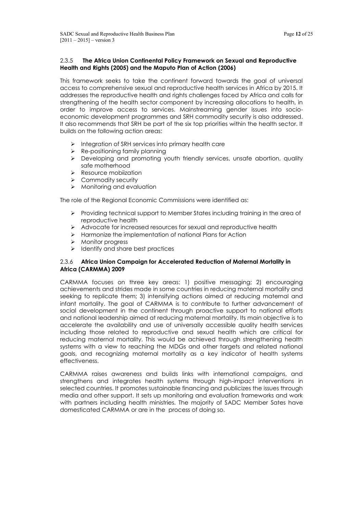## 2.3.5 **The Africa Union Continental Policy Framework on Sexual and Reproductive Health and Rights (2005) and the Maputo Plan of Action (2006)**

This framework seeks to take the continent forward towards the goal of universal access to comprehensive sexual and reproductive health services in Africa by 2015. It addresses the reproductive health and rights challenges faced by Africa and calls for strengthening of the health sector component by increasing allocations to health, in order to improve access to services. Mainstreaming gender issues into socioeconomic development programmes and SRH commodity security is also addressed. It also recommends that SRH be part of the six top priorities within the health sector. It builds on the following action areas:

- $\triangleright$  Integration of SRH services into primary health care
- $\triangleright$  Re-positioning family planning
- $\triangleright$  Developing and promoting youth friendly services, unsafe abortion, quality safe motherhood
- $\triangleright$  Resource mobiization
- > Commodity security
- $\triangleright$  Monitoring and evaluation

The role of the Regional Economic Commissions were identified as:

- Providing technical support to Member States including training in the area of reproductive health
- $\triangleright$  Advocate for increased resources for sexual and reproductive health
- $\triangleright$  Harmonize the implementation of national Plans for Action
- > Monitor progress
- $\triangleright$  Identify and share best practices

## 2.3.6 **Africa Union Campaign for Accelerated Reduction of Maternal Mortality in Africa (CARMMA) 2009**

CARMMA focuses on three key areas: 1) positive messaging; 2) encouraging achievements and strides made in some countries in reducing maternal mortality and seeking to replicate them; 3) intensifying actions aimed at reducing maternal and infant mortality. The goal of CARMMA is to contribute to further advancement of social development in the continent through proactive support to national efforts and national leadership aimed at reducing maternal mortality. Its main objective is to accelerate the availability and use of universally accessible quality health services including those related to reproductive and sexual health which are critical for reducing maternal mortality. This would be achieved through strengthening health systems with a view to reaching the MDGs and other targets and related national goals, and recognizing maternal mortality as a key indicator of health systems effectiveness.

CARMMA raises awareness and builds links with international campaigns, and strengthens and integrates health systems through high-impact interventions in selected countries. It promotes sustainable financing and publicizes the issues through media and other support. It sets up monitoring and evaluation frameworks and work with partners including health ministries. The majority of SADC Member Sates have domesticated CARMMA or are in the process of doing so.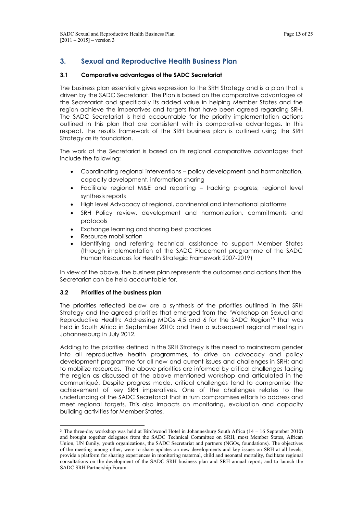# **3. Sexual and Reproductive Health Business Plan**

## **3.1 Comparative advantages of the SADC Secretariat**

The business plan essentially gives expression to the SRH Strategy and is a plan that is driven by the SADC Secretariat. The Plan is based on the comparative advantages of the Secretariat and specifically its added value in helping Member States and the region achieve the imperatives and targets that have been agreed regarding SRH. The SADC Secretariat is held accountable for the priority implementation actions outlined in this plan that are consistent with its comparative advantages. In this respect, the results framework of the SRH business plan is outlined using the SRH Strategy as its foundation.

The work of the Secretariat is based on its regional comparative advantages that include the following:

- Coordinating regional interventions policy development and harmonization, capacity development, information sharing
- Facilitate regional M&E and reporting tracking progress; regional level synthesis reports
- High level Advocacy at regional, continental and international platforms
- SRH Policy review, development and harmonization, commitments and protocols
- Exchange learning and sharing best practices
- Resource mobilisation
- Identifying and referring technical assistance to support Member States (through implementation of the SADC Placement programme of the SADC Human Resources for Health Strategic Framework 2007-2019)

In view of the above, the business plan represents the outcomes and actions that the Secretariat can be held accountable for.

#### **3.2 Priorities of the business plan**

The priorities reflected below are a synthesis of the priorities outlined in the SRH Strategy and the agreed priorities that emerged from the 'Workshop on Sexual and Reproductive Health: Addressing MDGs 4,5 and 6 for the SADC Region'<sup>3</sup> that was held in South Africa in September 2010; and then a subsequent regional meeting in Johannesburg in July 2012.

Adding to the priorities defined in the SRH Strategy is the need to mainstream gender into all reproductive health programmes, to drive an advocacy and policy development programme for all new and current issues and challenges in SRH; and to mobilize resources. The above priorities are informed by critical challenges facing the region as discussed at the above mentioned workshop and articulated in the communiqué. Despite progress made, critical challenges tend to compromise the achievement of key SRH imperatives. One of the challenges relates to the underfunding of the SADC Secretariat that in turn compromises efforts to address and meet regional targets. This also impacts on monitoring, evaluation and capacity building activities for Member States.

 <sup>3</sup> The three-day workshop was held at Birchwood Hotel in Johannesburg South Africa (14 – 16 September 2010) and brought together delegates from the SADC Technical Committee on SRH, most Member States, African Union, UN family, youth organizations, the SADC Secretariat and partners (NGOs, foundations). The objectives of the meeting among other, were to share updates on new developments and key issues on SRH at all levels, provide a platform for sharing experiences in monitoring maternal, child and neonatal mortality, facilitate regional consultations on the development of the SADC SRH business plan and SRH annual report; and to launch the SADC SRH Partnership Forum.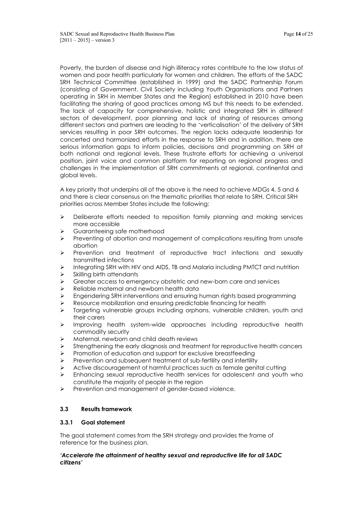Poverty, the burden of disease and high illiteracy rates contribute to the low status of women and poor health particularly for women and children. The efforts of the SADC SRH Technical Committee (established in 1999) and the SADC Partnership Forum (consisting of Government, Civil Society including Youth Organisations and Partners operating in SRH in Member States and the Region) established in 2010 have been facilitating the sharing of good practices among MS but this needs to be extended. The lack of capacity for comprehensive, holistic and integrated SRH in different sectors of development, poor planning and lack of sharing of resources among different sectors and partners are leading to the 'verticalisation' of the delivery of SRH services resulting in poor SRH outcomes. The region lacks adequate leadership for concerted and harmonized efforts in the response to SRH and in addition, there are serious information gaps to inform policies, decisions and programming on SRH at both national and regional levels. These frustrate efforts for achieving a universal position, joint voice and common platform for reporting on regional progress and challenges in the implementation of SRH commitments at regional, continental and global levels.

A key priority that underpins all of the above is the need to achieve MDGs 4, 5 and 6 and there is clear consensus on the thematic priorities that relate to SRH. Critical SRH priorities across Member States include the following:

- $\triangleright$  Deliberate efforts needed to reposition family planning and making services more accessible
- Suaranteeing safe motherhood
- $\triangleright$  Preventing of abortion and management of complications resulting from unsafe abortion
- Prevention and treatment of reproductive tract infections and sexually transmitted infections
- $\triangleright$  Integrating SRH with HIV and AIDS, TB and Malaria including PMTCT and nutrition
- $\triangleright$  Skilling birth attendants
- $\triangleright$  Greater access to emergency obstetric and new-born care and services
- Reliable maternal and newborn health data
- Engendering SRH interventions and ensuring human rights based programming
- Resource mobilization and ensuring predictable financing for health
- $\triangleright$  Targeting vulnerable groups including orphans, vulnerable children, youth and their carers
- > Improving health system-wide approaches including reproductive health commodity security
- Maternal, newborn and child death reviews
- Strengthening the early diagnosis and treatment for reproductive health cancers
- $\triangleright$  Promotion of education and support for exclusive breastfeeding
- $\triangleright$  Prevention and subsequent treatment of sub-fertility and infertility
- $\triangleright$  Active discouragement of harmful practices such as female genital cutting
- $\triangleright$  Enhancing sexual reproductive health services for adolescent and youth who constitute the majority of people in the region
- $\triangleright$  Prevention and management of gender-based violence.

## **3.3 Results framework**

## **3.3.1 Goal statement**

The goal statement comes from the SRH strategy and provides the frame of reference for the business plan.

## *'Accelerate the attainment of healthy sexual and reproductive life for all SADC citizens'*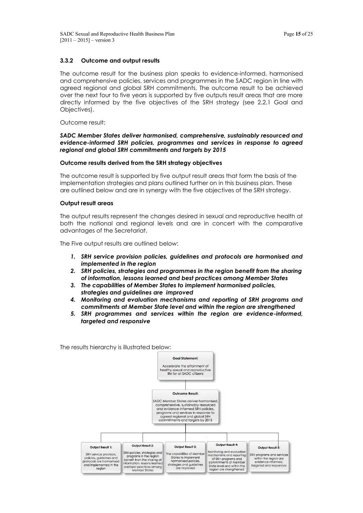## **3.3.2 Outcome and output results**

The outcome result for the business plan speaks to evidence-informed, harmonised and comprehensive policies, services and programmes in the SADC region in line with agreed regional and global SRH commitments. The outcome result to be achieved over the next four to five years is supported by five outputs result areas that are more directly informed by the five objectives of the SRH strategy (see 2.2.1 Goal and Objectives).

Outcome result:

#### *SADC Member States deliver harmonised, comprehensive, sustainably resourced and evidence-informed SRH policies, programmes and services in response to agreed regional and global SRH commitments and targets by 2015*

#### **Outcome results derived from the SRH strategy objectives**

The outcome result is supported by five output result areas that form the basis of the implementation strategies and plans outlined further on in this business plan. These are outlined below and are in synergy with the five objectives of the SRH strategy.

#### **Output result areas**

The output results represent the changes desired in sexual and reproductive health at both the national and regional levels and are in concert with the comparative advantages of the Secretariat.

The Five output results are outlined below:

- *1. SRH service provision policies, guidelines and protocols are harmonised and implemented in the region*
- *2. SRH policies, strategies and programmes in the region benefit from the sharing of information, lessons learned and best practices among Member States*
- *3. The capabilities of Member States to implement harmonised policies, strategies and guidelines are improved*
- *4. Monitoring and evaluation mechanisms and reporting of SRH programs and commitments at Member State level and within the region are strengthened*
- *5. SRH programmes and services within the region are evidence-informed, targeted and responsive*

The results hierarchy is illustrated below:

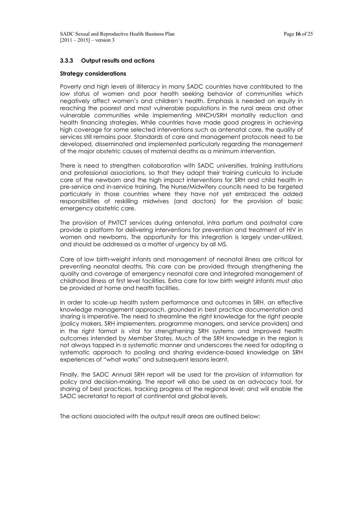## **3.3.3 Output results and actions**

#### **Strategy considerations**

Poverty and high levels of illiteracy in many SADC countries have contributed to the low status of women and poor health seeking behavior of communities which negatively affect women's and children's health. Emphasis is needed on equity in reaching the poorest and most vulnerable populations in the rural areas and other vulnerable communities while implementing MNCH/SRH mortality reduction and health financing strategies. While countries have made good progress in achieving high coverage for some selected interventions such as antenatal care, the quality of services still remains poor. Standards of care and management protocols need to be developed, disseminated and implemented particularly regarding the management of the major obstetric causes of maternal deaths as a minimum intervention.

There is need to strengthen collaboration with SADC universities, training institutions and professional associations, so that they adapt their training curricula to include care of the newborn and the high impact interventions for SRH and child health in pre-service and in-service training. The Nurse/Midwifery councils need to be targeted particularly in those countries where they have not yet embraced the added responsibilities of reskilling midwives (and doctors) for the provision of basic emergency obstetric care.

The provision of PMTCT services during antenatal, intra partum and postnatal care provide a platform for delivering interventions for prevention and treatment of HIV in women and newborns. The opportunity for this integration is largely under-utilized, and should be addressed as a matter of urgency by all MS.

Care of low birth-weight infants and management of neonatal illness are critical for preventing neonatal deaths. This care can be provided through strengthening the quality and coverage of emergency neonatal care and integrated management of childhood illness at first level facilities. Extra care for low birth weight infants must also be provided at home and health facilities.

In order to scale-up health system performance and outcomes in SRH, an effective knowledge management approach, grounded in best practice documentation and sharing is imperative. The need to streamline the right knowledge for the right people (policy makers, SRH implementers, programme managers, and service providers) and in the right format is vital for strengthening SRH systems and improved health outcomes intended by Member States. Much of the SRH knowledge in the region is not always tapped in a systematic manner and underscores the need for adopting a systematic approach to pooling and sharing evidence-based knowledge on SRH experiences of "what works" and subsequent lessons learnt.

Finally, the SADC Annual SRH report will be used for the provision of information for policy and decision-making. The report will also be used as an advocacy tool, for sharing of best practices, tracking progress at the regional level; and will enable the SADC secretariat to report at continental and global levels.

The actions associated with the output result areas are outlined below: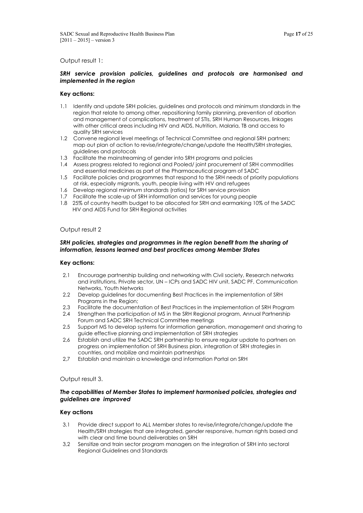#### Output result 1:

#### *SRH service provision policies, guidelines and protocols are harmonised and implemented in the region*

#### **Key actions:**

- 1.1 Identify and update SRH policies, guidelines and protocols and minimum standards in the region that relate to among other, repositioning family planning, prevention of abortion and management of complications, treatment of STIs, SRH Human Resources, linkages with other critical areas including HIV and AIDS, Nutrition, Malaria, TB and access to quality SRH services
- 1.2 Convene regional level meetings of Technical Committee and regional SRH partners; map out plan of action to revise/integrate/change/update the Health/SRH strategies, guidelines and protocols
- 1.3 Facilitate the mainstreaming of gender into SRH programs and policies
- 1.4 Assess progress related to regional and Pooled/ joint procurement of SRH commodities and essential medicines as part of the Pharmaceutical program of SADC
- 1.5 Facilitate policies and programmes that respond to the SRH needs of priority populations at risk, especially migrants, youth, people living with HIV and refugees
- 1.6 Develop regional minimum standards (ratios) for SRH service provision
- 1.7 Facilitate the scale-up of SRH information and services for young people
- 1.8 25% of country health budget to be allocated for SRH and earmarking 10% of the SADC HIV and AIDS Fund for SRH Regional activities

#### Output result 2

#### *SRH policies, strategies and programmes in the region benefit from the sharing of information, lessons learned and best practices among Member States*

#### **Key actions:**

- 2.1 Encourage partnership building and networking with Civil society, Research networks and institutions, Private sector, UN – ICPs and SADC HIV unit, SADC PF, Communication Networks, Youth Networks
- 2.2 Develop guidelines for documenting Best Practices in the implementation of SRH Programs in the Region;
- 2.3 Facilitate the documentation of Best Practices in the implementation of SRH Program
- 2.4 Strengthen the participation of MS in the SRH Regional program, Annual Partnership Forum and SADC SRH Technical Committee meetings
- 2.5 Support MS to develop systems for information generation, management and sharing to guide effective planning and implementation of SRH strategies
- 2,6 Establish and utilize the SADC SRH partnership to ensure regular update to partners on progress on implementation of SRH Business plan, integration of SRH strategies in countries, and mobilize and maintain partnerships
- 2,7 Establish and maintain a knowledge and information Portal on SRH

#### Output result 3.

#### *The capabilities of Member States to implement harmonised policies, strategies and guidelines are improved*

#### **Key actions**

- 3.1 Provide direct support to ALL Member states to revise/integrate/change/update the Health/SRH strategies that are integrated, gender responsive, human rights based and with clear and time bound deliverables on SRH
- 3,2 Sensitize and train sector program managers on the integration of SRH into sectoral Regional Guidelines and Standards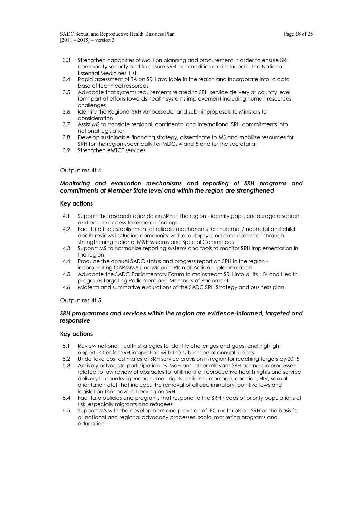- 3,3 Strengthen capacities of MoH on planning and procurement in order to ensure SRH commodity security and to ensure SRH commodities are included in the National Essential Medicines' List
- 3,4 Rapid assessment of TA on SRH available in the region and incorporate into a data base of technical resources
- 3,5 Advocate that systems requirements related to SRH service delivery at country level form part of efforts towards health systems improvement including human resources challenges
- 3,6 Identify the Regional SRH Ambassador and submit proposals to Ministers for consideration
- 3.7 Assist MS to translate regional, continental and international SRH commitments into national legislation
- 3.8 Develop sustainable financing strategy, disseminate to MS and mobilize resources for SRH for the region specifically for MDGs 4 and 5 and for the secretariat
- 3,9 Strengthen eMTCT services

#### Output result 4.

## *Monitoring and evaluation mechanisms and reporting of SRH programs and commitments at Member State level and within the region are strengthened*

#### **Key actions**

- 4.1 Support the research agenda on SRH in the region identify gaps, encourage research, and ensure access to research findings
- 4.2 Facilitate the establishment of reliable mechanisms for maternal / neonatal and child death reviews including community verbal autopsy; and data collection through strengthening national M&E systems and Special Committees
- 4.3 Support MS to harmonize reporting systems and tools to monitor SRH implementation in the region
- 4.4 Produce the annual SADC status and progress report on SRH in the region incorporating CARMMA and Maputo Plan of Action implementation
- 4.5 Advocate the SADC Parliamentary Forum to mainstream SRH into all its HIV and Health programs targeting Parliament and Members of Parliament
- 4.6 Midterm and summative evaluations of the SADC SRH Strategy and business plan

Output result 5.

#### *SRH programmes and services within the region are evidence-informed, targeted and responsive*

#### **Key actions**

- 5.1 Review national health strategies to identify challenges and gaps, and highlight opportunities for SRH integration with the submission of annual reports
- 5.2 Undertake cost estimates of SRH service provision in region for reaching targets by 2015
- 5.3 Actively advocate participation by MoH and other relevant SRH partners in processes related to law review of obstacles to fulfillment of reproductive health rights and service delivery in country (gender, human rights, children, marriage, abortion, HIV, sexual orientation etc) that includes the removal of all discriminatory, punitive laws and legislation that have a bearing on SRH.
- 5.4 Facilitate policies and programs that respond to the SRH needs of priority populations at risk, especially migrants and refugees
- 5.5 Support MS with the development and provision of IEC materials on SRH as the basis for all national and regional advocacy processes, social marketing programs and education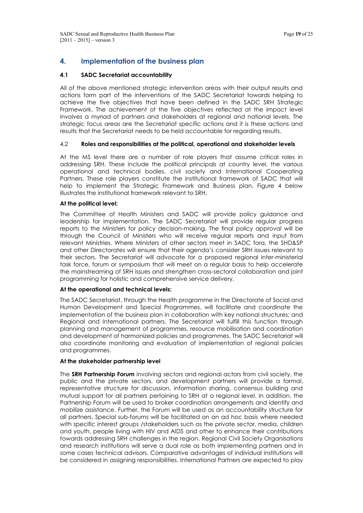# **4. Implementation of the business plan**

## **4.1 SADC Secretariat accountability**

All of the above mentioned strategic intervention areas with their output results and actions form part of the interventions of the SADC Secretariat towards helping to achieve the five objectives that have been defined in the SADC SRH Strategic Framework. The achievement of the five objectives reflected at the impact level involves a myriad of partners and stakeholders at regional and national levels. The strategic focus areas are the Secretariat specific actions and it is these actions and results that the Secretariat needs to be held accountable for regarding results.

## 4.2 **Roles and responsibilities at the political, operational and stakeholder levels**

At the MS level there are a number of role players that assume critical roles in addressing SRH. These include the political principals at country level, the various operational and technical bodies, civil society and International Cooperating Partners. These role players constitute the institutional framework of SADC that will help to implement the Strategic Framework and Business plan. Figure 4 below illustrates the institutional framework relevant to SRH.

## **At the political level:**

The Committee of Health Ministers and SADC will provide policy guidance and leadership for implementation. The SADC Secretariat will provide regular progress reports to the Ministers for policy decision-making. The final policy approval will be through the Council of Ministers who will receive regular reports and input from relevant Ministries. Where Ministers of other sectors meet in SADC fora, the SHD&SP and other Directorates will ensure that their agenda's consider SRH issues relevant to their sectors. The Secretariat will advocate for a proposed regional inter-ministerial task force, forum or symposium that will meet on a regular basis to help accelerate the mainstreaming of SRH issues and strengthen cross-sectoral collaboration and joint programming for holistic and comprehensive service delivery.

#### **At the operational and technical levels:**

The SADC Secretariat, through the Health programme in the Directorate of Social and Human Development and Special Programmes, will facilitate and coordinate the implementation of the business plan in collaboration with key national structures; and Regional and International partners. The Secretariat will fulfill this function through planning and management of programmes, resource mobilisation and coordination and development of harmonized policies and programmes. The SADC Secretariat will also coordinate monitoring and evaluation of implementation of regional policies and programmes.

#### **At the stakeholder partnership level**

The **SRH Partnership Forum** involving sectors and regional actors from civil society, the public and the private sectors, and development partners will provide a formal, representative structure for discussion, information sharing, consensus building and mutual support for all partners pertaining to SRH at a regional level. In addition, the Partnership Forum will be used to broker coordination arrangements and identify and mobilize assistance. Further, the Forum will be used as an accountability structure for all partners. Special sub-forums will be facilitated on an ad hoc basis where needed with specific interest groups /stakeholders such as the private sector, media, children and youth, people living with HIV and AIDS and other to enhance their contributions towards addressing SRH challenges in the region. Regional Civil Society Organisations and research institutions will serve a dual role as both implementing partners and in some cases technical advisors. Comparative advantages of individual institutions will be considered in assigning responsibilities. International Partners are expected to play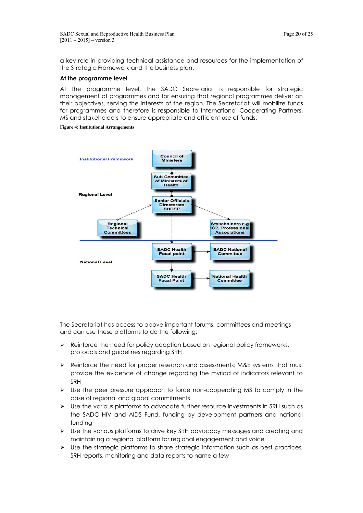a key role in providing technical assistance and resources for the implementation of the Strategic Framework and the business plan.

#### **At the programme level**

At the programme level, the SADC Secretariat is responsible for strategic management of programmes and for ensuring that regional programmes deliver on their objectives, serving the interests of the region. The Secretariat will mobilize funds for programmes and therefore is responsible to International Cooperating Partners, MS and stakeholders to ensure appropriate and efficient use of funds.

#### **Figure 4: Institutional Arrangements**



The Secretariat has access to above important forums, committees and meetings and can use these platforms to do the following:

- $\triangleright$  Reinforce the need for policy adoption based on regional policy frameworks, protocols and guidelines regarding SRH
- $\triangleright$  Reinforce the need for proper research and assessments; M&E systems that must provide the evidence of change regarding the myriad of indicators relevant to SRH
- $\triangleright$  Use the peer pressure approach to force non-cooperating MS to comply in the case of regional and global commitments
- $\triangleright$  Use the various platforms to advocate further resource investments in SRH such as the SADC HIV and AIDS Fund, funding by development partners and national funding
- Use the various platforms to drive key SRH advocacy messages and creating and maintaining a regional platform for regional engagement and voice
- $\triangleright$  Use the strategic platforms to share strategic information such as best practices, SRH reports, monitoring and data reports to name a few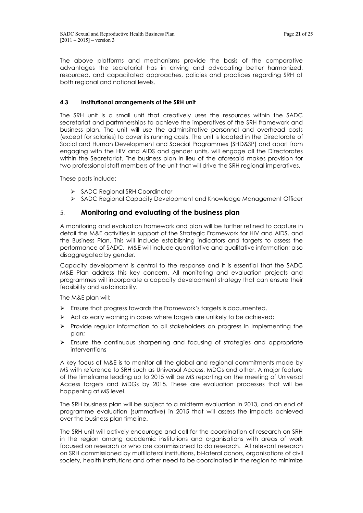The above platforms and mechanisms provide the basis of the comparative advantages the secretariat has in driving and advocating better harmonized, resourced, and capacitated approaches, policies and practices regarding SRH at both regional and national levels.

## **4.3 Institutional arrangements of the SRH unit**

The SRH unit is a small unit that creatively uses the resources within the SADC secretariat and partmnerships to achieve the imperatives of the SRH framework and business plan. The unit will use the adminsitrative personnel and overhead costs (except for salaries) to cover its running costs. The unit is located in the Directorate of Social and Human Development and Special Programmes (SHD&SP) and apart from engaging with the HIV and AIDS and gender units, will engage all the Directorates within the Secretariat. The business plan in lieu of the aforesaid makes provision for two professional staff members of the unit that will drive the SRH regional imperatives.

These posts include:

- SADC Regional SRH Coordinator
- SADC Regional Capacity Development and Knowledge Management Officer

## 5. **Monitoring and evaluating of the business plan**

A monitoring and evaluation framework and plan will be further refined to capture in detail the M&E activities in support of the Strategic Framework for HIV and AIDS, and the Business Plan. This will include establishing indicators and targets to assess the performance of SADC. M&E will include quantitative and qualitative information; also disaggregated by gender.

Capacity development is central to the response and it is essential that the SADC M&E Plan address this key concern. All monitoring and evaluation projects and programmes will incorporate a capacity development strategy that can ensure their feasibility and sustainability.

The M&E plan will:

- $\triangleright$  Ensure that progress towards the Framework's targets is documented.
- $\triangleright$  Act as early warning in cases where targets are unlikely to be achieved;
- $\triangleright$  Provide regular information to all stakeholders on progress in implementing the plan;
- $\triangleright$  Ensure the continuous sharpening and focusing of strategies and appropriate interventions

A key focus of M&E is to monitor all the global and regional commitments made by MS with reference to SRH such as Universal Access, MDGs and other. A major feature of the timeframe leading up to 2015 will be MS reporting on the meeting of Universal Access targets and MDGs by 2015. These are evaluation processes that will be happening at MS level.

The SRH business plan will be subject to a midterm evaluation in 2013, and an end of programme evaluation (summative) in 2015 that will assess the impacts achieved over the business plan timeline.

The SRH unit will actively encourage and call for the coordination of research on SRH in the region among academic institutions and organisations with areas of work focused on research or who are commissioned to do research. All relevant research on SRH commissioned by multilateral institutions, bi-lateral donors, organisations of civil society, health institutions and other need to be coordinated in the region to minimize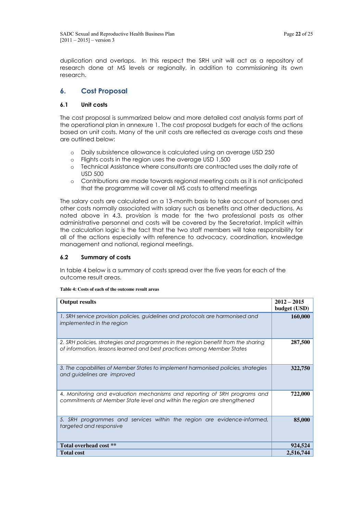duplication and overlaps. In this respect the SRH unit will act as a repository of research done at MS levels or regionally, in addition to commissioning its own research.

# **6. Cost Proposal**

## **6.1 Unit costs**

The cost proposal is summarized below and more detailed cost analysis forms part of the operational plan in annexure 1. The cost proposal budgets for each of the actions based on unit costs. Many of the unit costs are reflected as average costs and these are outlined below:

- o Daily subsistence allowance is calculated using an average USD 250
- o Flights costs in the region uses the average USD 1,500
- o Technical Assistance where consultants are contracted uses the daily rate of USD 500
- o Contributions are made towards regional meeting costs as it is not anticipated that the programme will cover all MS costs to attend meetings

The salary costs are calculated on a 13-month basis to take account of bonuses and other costs normally associated with salary such as benefits and other deductions. As noted above in 4.3, provision is made for the two professional posts as other administrative personnel and costs will be covered by the Secretariat. Implicit within the calculation logic is the fact that the two staff members will take responsibility for all of the actions especially with reference to advocacy, coordination, knowledge management and national, regional meetings.

## **6.2 Summary of costs**

In table 4 below is a summary of costs spread over the five years for each of the outcome result areas.

**Table 4: Costs of each of the outcome result areas**

| <b>Output results</b>                                                                                                                                       | $2012 - 2015$<br>budget (USD) |
|-------------------------------------------------------------------------------------------------------------------------------------------------------------|-------------------------------|
| 1. SRH service provision policies, guidelines and protocols are harmonised and<br>implemented in the region                                                 | 160,000                       |
| 2. SRH policies, strategies and programmes in the region benefit from the sharing<br>of information, lessons learned and best practices among Member States | 287,500                       |
| 3. The capabilities of Member States to implement harmonised policies, strategies<br>and guidelines are improved                                            | 322,750                       |
| 4. Monitoring and evaluation mechanisms and reporting of SRH programs and<br>commitments at Member State level and within the region are strengthened       | 722,000                       |
| 5. SRH programmes and services within the region are evidence-informed,<br>targeted and responsive                                                          | 85,000                        |
| Total overhead cost **                                                                                                                                      | 924,524                       |
| <b>Total cost</b>                                                                                                                                           | 2,516,744                     |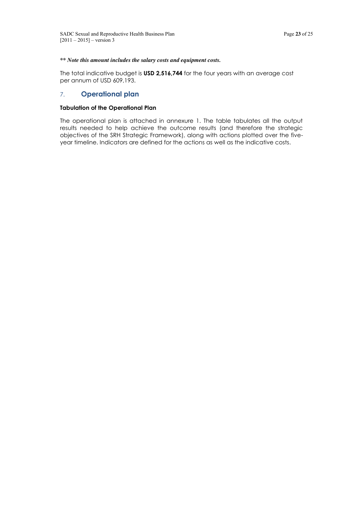### *\*\* Note this amount includes the salary costs and equipment costs.*

The total indicative budget is **USD 2,516,744** for the four years with an average cost per annum of USD 609,193.

## 7. **Operational plan**

#### **Tabulation of the Operational Plan**

The operational plan is attached in annexure 1. The table tabulates all the output results needed to help achieve the outcome results (and therefore the strategic objectives of the SRH Strategic Framework), along with actions plotted over the fiveyear timeline. Indicators are defined for the actions as well as the indicative costs.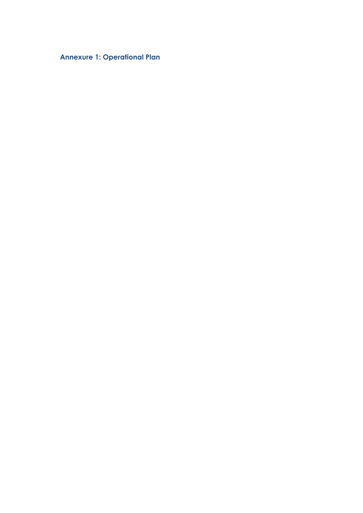**Annexure 1: Operational Plan**